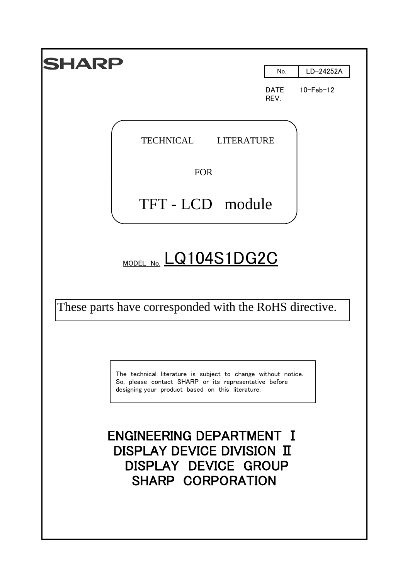| 1ARF                                                                                                                                                                       |                     |                 |
|----------------------------------------------------------------------------------------------------------------------------------------------------------------------------|---------------------|-----------------|
|                                                                                                                                                                            | No.                 | LD-24252A       |
|                                                                                                                                                                            | <b>DATE</b><br>REV. | $10 - Feb - 12$ |
| <b>TECHNICAL</b><br><b>LITERATURE</b>                                                                                                                                      |                     |                 |
| <b>FOR</b>                                                                                                                                                                 |                     |                 |
| TFT-LCD module                                                                                                                                                             |                     |                 |
| MODEL NO. LQ104S1DG2C                                                                                                                                                      |                     |                 |
| These parts have corresponded with the RoHS directive.                                                                                                                     |                     |                 |
| The technical literature is subject to change without notice.<br>So, please contact SHARP or its representative before<br>designing your product based on this literature. |                     |                 |
| <b>ENGINEERING DEPARTMENT I</b><br>DISPLAY DEVICE DIVISION II<br>DISPLAY DEVICE GROUP<br>SHARP CORPORATION                                                                 |                     |                 |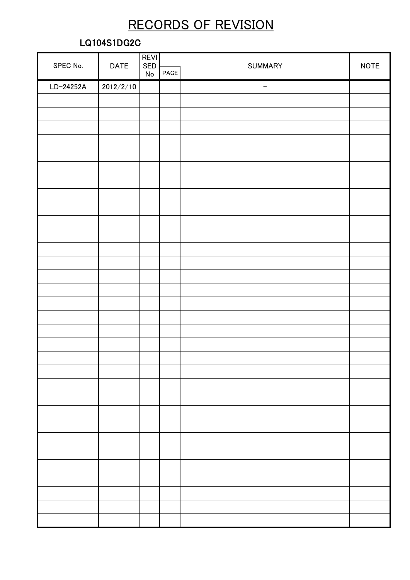## RECORDS OF REVISION

## LQ104S1DG2C

|           |             | <b>REVI</b> |      |                          | <b>NOTE</b> |  |
|-----------|-------------|-------------|------|--------------------------|-------------|--|
| SPEC No.  | <b>DATE</b> | SED<br>No   | PAGE | <b>SUMMARY</b>           |             |  |
| LD-24252A | 2012/2/10   |             |      | $\overline{\phantom{m}}$ |             |  |
|           |             |             |      |                          |             |  |
|           |             |             |      |                          |             |  |
|           |             |             |      |                          |             |  |
|           |             |             |      |                          |             |  |
|           |             |             |      |                          |             |  |
|           |             |             |      |                          |             |  |
|           |             |             |      |                          |             |  |
|           |             |             |      |                          |             |  |
|           |             |             |      |                          |             |  |
|           |             |             |      |                          |             |  |
|           |             |             |      |                          |             |  |
|           |             |             |      |                          |             |  |
|           |             |             |      |                          |             |  |
|           |             |             |      |                          |             |  |
|           |             |             |      |                          |             |  |
|           |             |             |      |                          |             |  |
|           |             |             |      |                          |             |  |
|           |             |             |      |                          |             |  |
|           |             |             |      |                          |             |  |
|           |             |             |      |                          |             |  |
|           |             |             |      |                          |             |  |
|           |             |             |      |                          |             |  |
|           |             |             |      |                          |             |  |
|           |             |             |      |                          |             |  |
|           |             |             |      |                          |             |  |
|           |             |             |      |                          |             |  |
|           |             |             |      |                          |             |  |
|           |             |             |      |                          |             |  |
|           |             |             |      |                          |             |  |
|           |             |             |      |                          |             |  |
|           |             |             |      |                          |             |  |
|           |             |             |      |                          |             |  |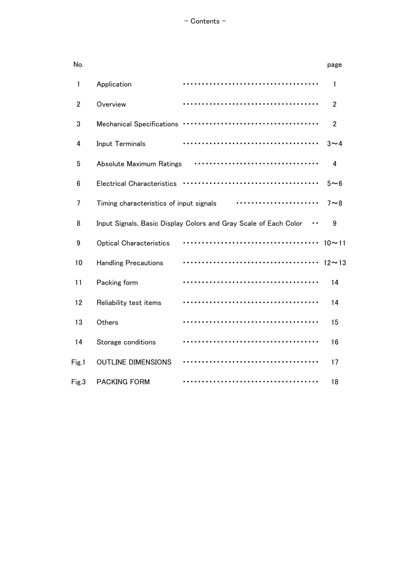| No.            |                                         |                                                                  | page           |
|----------------|-----------------------------------------|------------------------------------------------------------------|----------------|
| 1              | Application                             |                                                                  | 1              |
| $\overline{2}$ | Overview                                |                                                                  | $\overline{2}$ |
| 3              | <b>Mechanical Specifications</b>        |                                                                  | $\overline{2}$ |
| 4              | Input Terminals                         |                                                                  | $3\sim4$       |
| 5              | <b>Absolute Maximum Ratings</b>         |                                                                  | 4              |
| 6              | <b>Electrical Characteristics</b>       |                                                                  | $5 - 6$        |
| 7              | Timing characteristics of input signals |                                                                  | $7 \sim 8$     |
| 8              |                                         | Input Signals, Basic Display Colors and Gray Scale of Each Color | 9              |
| 9              | <b>Optical Characteristics</b>          |                                                                  | $10 - 11$      |
| 10             | <b>Handling Precautions</b>             |                                                                  | $12 - 13$      |
| 11             | Packing form                            |                                                                  | 14             |
| 12             | Reliability test items                  |                                                                  | 14             |
| 13             | Others                                  |                                                                  | 15             |
| 14             | Storage conditions                      |                                                                  | 16             |
| Fig.1          | <b>OUTLINE DIMENSIONS</b>               |                                                                  | 17             |
| Fig.3          | <b>PACKING FORM</b>                     |                                                                  | 18             |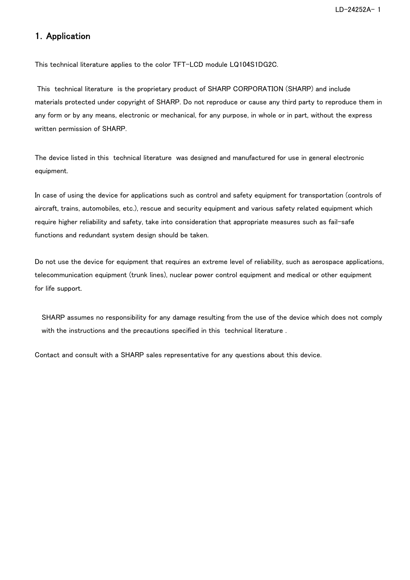## 1.Application

This technical literature applies to the color TFT-LCD module LQ104S1DG2C.

 This technical literature is the proprietary product of SHARP CORPORATION (SHARP) and include materials protected under copyright of SHARP. Do not reproduce or cause any third party to reproduce them in any form or by any means, electronic or mechanical, for any purpose, in whole or in part, without the express written permission of SHARP.

The device listed in this technical literature was designed and manufactured for use in general electronic equipment.

In case of using the device for applications such as control and safety equipment for transportation (controls of aircraft, trains, automobiles, etc.), rescue and security equipment and various safety related equipment which require higher reliability and safety, take into consideration that appropriate measures such as fail-safe functions and redundant system design should be taken.

Do not use the device for equipment that requires an extreme level of reliability, such as aerospace applications, telecommunication equipment (trunk lines), nuclear power control equipment and medical or other equipment for life support.

SHARP assumes no responsibility for any damage resulting from the use of the device which does not comply with the instructions and the precautions specified in this technical literature .

Contact and consult with a SHARP sales representative for any questions about this device.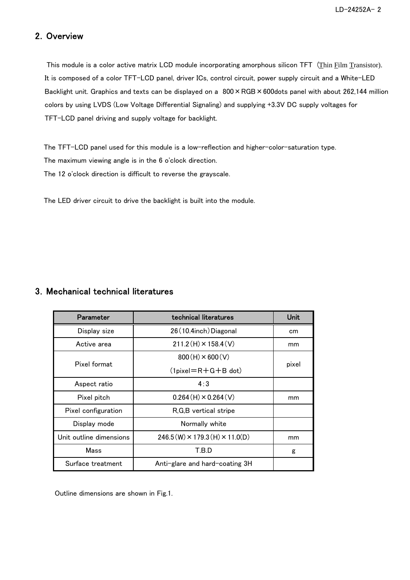## 2.Overview

This module is a color active matrix LCD module incorporating amorphous silicon TFT (Thin Film Transistor). It is composed of a color TFT-LCD panel, driver ICs, control circuit, power supply circuit and a White-LED Backlight unit. Graphics and texts can be displayed on a  $800 \times \text{RGB} \times 600$ dots panel with about 262,144 million colors by using LVDS (Low Voltage Differential Signaling) and supplying +3.3V DC supply voltages for TFT-LCD panel driving and supply voltage for backlight.

 The TFT-LCD panel used for this module is a low-reflection and higher-color-saturation type. The maximum viewing angle is in the 6 o'clock direction.

The 12 o'clock direction is difficult to reverse the grayscale.

The LED driver circuit to drive the backlight is built into the module.

## 3.Mechanical technical literatures

| Parameter               | technical literatures                     | Unit  |
|-------------------------|-------------------------------------------|-------|
| Display size            | 26 (10.4inch) Diagonal                    | cm    |
| Active area             | $211.2(H) \times 158.4(V)$                | mm    |
|                         | $800(H) \times 600(V)$                    |       |
| Pixel format            | $(1$ pixel=R+G+B dot)                     | pixel |
| Aspect ratio            | 4:3                                       |       |
| Pixel pitch             | $0.264(H) \times 0.264(V)$                | mm    |
| Pixel configuration     | R,G,B vertical stripe                     |       |
| Display mode            | Normally white                            |       |
| Unit outline dimensions | $246.5(W) \times 179.3(H) \times 11.0(D)$ | mm    |
| Mass                    | T.B.D                                     | g     |
| Surface treatment       | Anti-glare and hard-coating 3H            |       |

Outline dimensions are shown in Fig.1.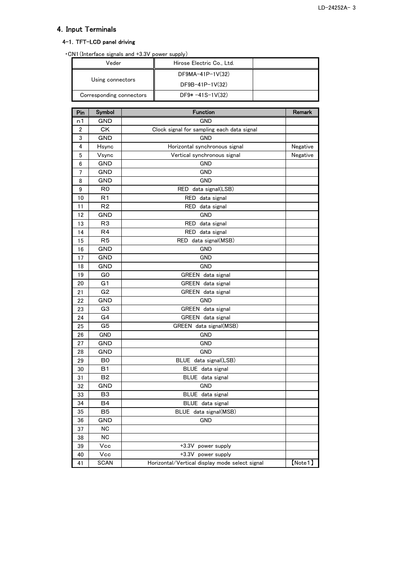## 4.Input Terminals

## 4-1.TFT-LCD panel driving

| .CN1 (Interface signals and +3.3V power supply) |  |  |  |  |
|-------------------------------------------------|--|--|--|--|
|-------------------------------------------------|--|--|--|--|

| Veder                    | Hirose Electric Co., Ltd. |  |
|--------------------------|---------------------------|--|
| Using connectors         | $DF9MA-41P-1V(32)$        |  |
|                          | $DF9B-41P-1V(32)$         |  |
| Corresponding connectors | $DF9* -41S-1V(32)$        |  |

| Pin            | Symbol         | <b>Function</b>                                | Remark   |
|----------------|----------------|------------------------------------------------|----------|
| n1             | <b>GND</b>     | <b>GND</b>                                     |          |
| $\overline{2}$ | <b>CK</b>      | Clock signal for sampling each data signal     |          |
| 3              | <b>GND</b>     | <b>GND</b>                                     |          |
| 4              | Hsync          | Horizontal synchronous signal                  | Negative |
| 5              | Vsync          | Vertical synchronous signal                    | Negative |
| 6              | <b>GND</b>     | <b>GND</b>                                     |          |
| $\overline{7}$ | <b>GND</b>     | <b>GND</b>                                     |          |
| 8              | <b>GND</b>     | <b>GND</b>                                     |          |
| 9              | R0             | RED<br>data signal(LSB)                        |          |
| 10             | R <sub>1</sub> | RED data signal                                |          |
| 11             | R <sub>2</sub> | data signal<br>RED                             |          |
| 12             | GND            | GND                                            |          |
| 13             | R <sub>3</sub> | RED<br>data signal                             |          |
| 14             | R4             | RED data signal                                |          |
| 15             | R <sub>5</sub> | RED data signal(MSB)                           |          |
| 16             | <b>GND</b>     | <b>GND</b>                                     |          |
| 17             | <b>GND</b>     | <b>GND</b>                                     |          |
| 18             | GND            | <b>GND</b>                                     |          |
| 19             | G0             | GREEN data signal                              |          |
| 20             | G1             | GREEN data signal                              |          |
| 21             | G <sub>2</sub> | GREEN data signal                              |          |
| 22             | <b>GND</b>     | <b>GND</b>                                     |          |
| 23             | G3             | GREEN data signal                              |          |
| 24             | G4             | GREEN data signal                              |          |
| 25             | G <sub>5</sub> | GREEN data signal(MSB)                         |          |
| 26             | GND            | GND                                            |          |
| 27             | <b>GND</b>     | <b>GND</b>                                     |          |
| 28             | <b>GND</b>     | <b>GND</b>                                     |          |
| 29             | B <sub>0</sub> | BLUE data signal(LSB)                          |          |
| 30             | <b>B1</b>      | BLUE data signal                               |          |
| 31             | <b>B2</b>      | BLUE data signal                               |          |
| 32             | <b>GND</b>     | <b>GND</b>                                     |          |
| 33             | B <sub>3</sub> | BLUE data signal                               |          |
| 34             | <b>B4</b>      | BLUE data signal                               |          |
| 35             | B <sub>5</sub> | BLUE data signal(MSB)                          |          |
| 36             | <b>GND</b>     | <b>GND</b>                                     |          |
| 37             | <b>NC</b>      |                                                |          |
| 38             | <b>NC</b>      |                                                |          |
| 39             | Vcc            | $+3.3V$<br>power supply                        |          |
| 40             | Vcc            | $+3.3V$<br>power supply                        |          |
| 41             | <b>SCAN</b>    | Horizontal/Vertical display mode select signal | [Note1]  |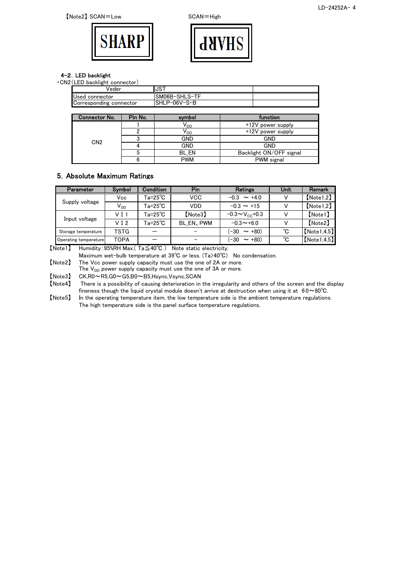



#### 4-2.LED backlight

| √eder                   | IIJST         |  |
|-------------------------|---------------|--|
| Used connector          | SM06B-SHLS-TF |  |
| Corresponding connector | SHLP-06V-S-B  |  |

| Connector No.   | Pin No. | symbol          | function                |
|-----------------|---------|-----------------|-------------------------|
|                 |         | V <sub>DD</sub> | +12V power supply       |
|                 |         | √ <sub>DD</sub> | +12V power supply       |
| CN <sub>2</sub> |         | <b>GND</b>      | GND                     |
|                 |         | <b>GND</b>      | GND                     |
|                 |         | BL EN           | Backlight ON/OFF signal |
|                 |         | <b>PWM</b>      | PWM signal              |

#### 5.Absolute Maximum Ratings

| Parameter             | Symbol           | Condition                | Pin               | <b>Ratings</b>               | Unit | Remark         |
|-----------------------|------------------|--------------------------|-------------------|------------------------------|------|----------------|
|                       | Vcc              | $Ta = 25^{\circ}C$       | VCC               | $-0.3 \sim +4.0$             |      | [Note 1, 2]    |
| Supply voltage        | $V_{DD}$         | $Ta = 25^{\circ}C$       | VDD               | $-0.3 \sim +15$              |      | [Note 1, 2]    |
|                       | V <sub>I</sub> 1 | $Ta = 25^\circ \text{C}$ | [Note3]           | $-0.3 \sim V_{\rm cc} + 0.3$ |      | $[$ Note 1 $]$ |
| Input voltage         | VI <sub>2</sub>  | $Ta = 25^{\circ}C$       | <b>BL EN, PWM</b> | $-0.3 \sim +6.0$             |      | [Note2]        |
| Storage temperature   | <b>TSTG</b>      |                          | -                 | $\sim$ +80)<br>(-30          | °C   | [Note 1.4.5]   |
| Operating temperature | <b>TOPA</b>      |                          | -                 | (-30<br>$\sim$ +80)          | °C   | [Note 1.4.5]   |

【Note1】 Humidity:95%RH Max.( Ta≦40℃ ) Note static electricity.

Maximum wet-bulb temperature at 39℃ or less. (Ta>40℃) No condensation.

【Note2】 The Vcc power supply capacity must use the one of 2A or more.

The  $V_{DD}$  power supply capacity must use the one of 3A or more.

 $[Note3]$  CK,R0~R5,G0~G5,B0~B5,Hsync,Vsync,SCAN  $[Note4]$  There is a possibility of causing deterioration in

There is a possibility of causing deterioration in the irregularity and others of the screen and the display fineness though the liquid crystal module doesn't arrive at destruction when using it at  $60~\sim80^{\circ}$ C.

【Note5】 In the operating temperature item, the low temperature side is the ambient temperature regulations. The high temperature side is the panel surface temperature regulations.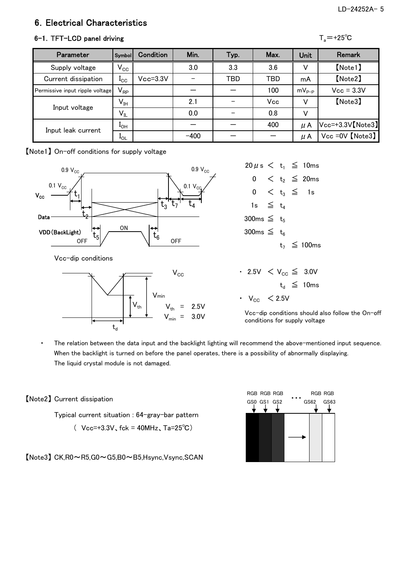## 6.Electrical Characteristics

## 6-1. TFT-LCD panel driving

|--|--|

| <b>Parameter</b>                | Symbol                     | Condition    | Min.   | Typ.       | Max. | <b>Unit</b> | <b>Remark</b>       |
|---------------------------------|----------------------------|--------------|--------|------------|------|-------------|---------------------|
| Supply voltage                  | $\mathsf{V}_{\mathsf{CC}}$ |              | 3.0    | 3.3        | 3.6  |             | [Note1]             |
| Current dissipation             | $_{\rm{c}c}$               | $Vcc = 3.3V$ |        | <b>TBD</b> | TBD  | mA          | [Note2]             |
| Permissive input ripple voltage | $V_{RP}$                   |              |        |            | 100  | $mV_{p-p}$  | $Vcc = 3.3V$        |
|                                 | $V_{IH}$                   |              | 2.1    |            | Vcc  |             | [Note3]             |
| Input voltage                   | $\mathsf{V}_{\mathsf{IL}}$ |              | 0.0    |            | 0.8  |             |                     |
| Input leak current              | $1_{OH}$                   |              |        |            | 400  | μA          | $Vcc=+3.3V$ [Note3] |
|                                 | $1_{OL}$                   |              | $-400$ |            |      | μA          | $Vcc = 0V$ [Note3]  |

【Note1】 On-off conditions for supply voltage





| 300ms $\leq$ t <sub>5</sub>      |  |                   |
|----------------------------------|--|-------------------|
| 300ms $\leq t_{6}$               |  |                   |
|                                  |  | $t_7 \leq 100$ ms |
|                                  |  |                   |
| • 2.5V < $V_{CC}$ ≤ 3.0V         |  |                   |
|                                  |  | $t_d \leq 10$ ms  |
| $\cdot$ V <sub>cc</sub> $<$ 2.5V |  |                   |

Vcc-dip conditions should also follow the On-off conditions for supply voltage

・ The relation between the data input and the backlight lighting will recommend the above-mentioned input sequence. When the backlight is turned on before the panel operates, there is a possibility of abnormally displaying. The liquid crystal module is not damaged.

【Note2】 Current dissipation

Typical current situation : 64-gray-bar pattern

(  $Vcc=+3.3V$ , fck = 40MHz, Ta=25°C)

【Note3】 CK,R0~R5,G0~G5,B0~B5,Hsync,Vsync,SCAN

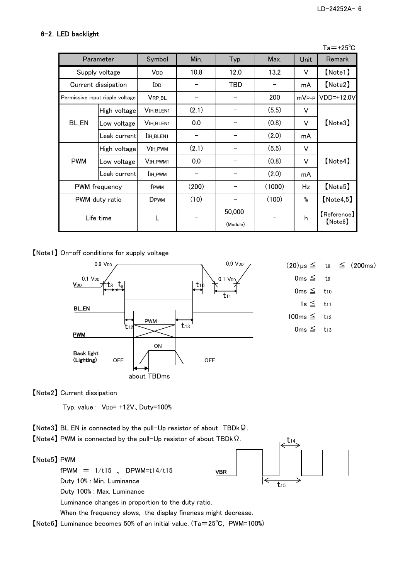## 6-2.LED backlight

|                |                                 |                                   |       |                    |        |                   | $Ta = +25^{\circ}C$          |
|----------------|---------------------------------|-----------------------------------|-------|--------------------|--------|-------------------|------------------------------|
|                | Parameter                       | Symbol                            | Min.  | Typ.               | Max.   | Unit              | <b>Remark</b>                |
|                | Supply voltage                  | V <sub>DD</sub>                   | 10.8  | 12.0               | 13.2   | V                 | [Note1]                      |
|                | Current dissipation             | <b>I</b> DD                       |       | TBD                |        | mA                | [Note2]                      |
|                | Permissive input ripple voltage | VRP_BL                            |       |                    | 200    | mV <sub>P-P</sub> | <b>VDD=+12.0V</b>            |
| <b>BL_EN</b>   | High voltage                    | <b>VIH BLEN1</b>                  | (2.1) |                    | (5.5)  | V                 |                              |
|                | Low voltage                     | <b>VIH BLEN1</b>                  | 0.0   |                    | (0.8)  | V                 | [Note3]                      |
|                | Leak current                    | I <sub>IH</sub> BLEN <sub>1</sub> | -     |                    | (2.0)  | mA                |                              |
|                | High voltage                    | <b>VIH_PWM</b>                    | (2.1) |                    | (5.5)  | V                 |                              |
| <b>PWM</b>     | Low voltage                     | V <sub>IH</sub> PWM <sub>1</sub>  | 0.0   |                    | (0.8)  | V                 | [Note4]                      |
|                | Leak currentl                   | <b>I</b> IH PWM                   |       |                    | (2.0)  | mA                |                              |
| PWM frequency  |                                 | f <sub>PWM</sub>                  | (200) |                    | (1000) | Hz                | [Note5]                      |
| PWM duty ratio |                                 | DPWM                              | (10)  |                    | (100)  | $\frac{0}{0}$     | [Note4, 5]                   |
| Life time      |                                 | L                                 |       | 50,000<br>(Module) |        | h                 | $[$ Reference $]$<br>[Note6] |

【Note1】 On-off conditions for supply voltage



VBR

t14

 $t_{15}$ 

【Note2】 Current dissipation

Typ. value: VDD= +12V, Duty=100%

【Note3】 BL\_EN is connected by the pull-Up resistor of about TBDkΩ.

【Note4】 PWM is connected by the pull-Up resistor of about TBDkΩ.

【Note5】 PWM

 $f$ PWM =  $1/t15$ , DPWM=t14/t15 Duty 10% : Min. Luminance

Duty 100% : Max. Luminance

Luminance changes in proportion to the duty ratio.

When the frequency slows, the display fineness might decrease.

【Note6】 Luminance becomes 50% of an initial value. (Ta=25℃, PWM=100%)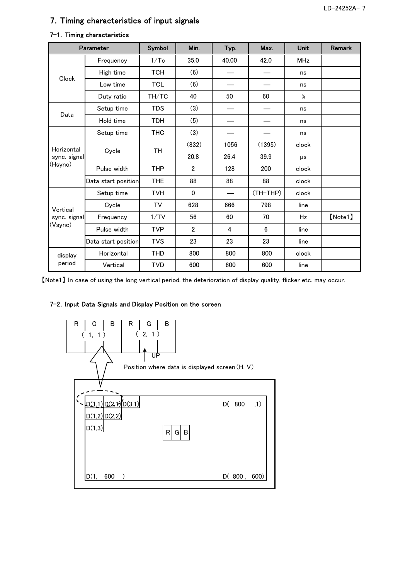## 7.Timing characteristics of input signals

|              | Parameter                                                                  | Symbol     | Min.           | Typ.  | Max.     | Unit                                                                                                | Remark  |
|--------------|----------------------------------------------------------------------------|------------|----------------|-------|----------|-----------------------------------------------------------------------------------------------------|---------|
| Clock        | Frequency                                                                  | 1/Tc       | 35.0           | 40.00 | 42.0     | <b>MHz</b>                                                                                          |         |
|              | High time                                                                  | <b>TCH</b> | (6)            |       |          | ns                                                                                                  |         |
|              | Low time                                                                   | <b>TCL</b> | (6)            |       |          | ns                                                                                                  |         |
|              | Duty ratio                                                                 | TH/TC      | 40             | 50    | 60       | %                                                                                                   |         |
|              | Setup time                                                                 | <b>TDS</b> | (3)            |       |          | ns                                                                                                  |         |
| Data         | Hold time                                                                  | <b>TDH</b> | (5)            |       |          | ns                                                                                                  |         |
|              | Setup time                                                                 | <b>THC</b> | (3)            |       |          | ns                                                                                                  |         |
|              |                                                                            |            | (832)          | 1056  | (1395)   | clock                                                                                               |         |
| sync. signal |                                                                            |            | 20.8           | 26.4  | 39.9     | μs                                                                                                  |         |
|              | Horizontal<br>Cycle<br>TH<br>(Hsync)<br>Pulse width<br>Data start position | <b>THP</b> | $\overline{2}$ | 128   | 200      | clock                                                                                               |         |
|              |                                                                            | <b>THE</b> | 88             | 88    | 88       | clock<br>clock<br>798<br>line<br>70<br>Hz<br>6<br>line<br>23<br>line<br>800<br>clock<br>600<br>line |         |
|              | Setup time                                                                 | <b>TVH</b> | $\Omega$       |       | (TH-THP) |                                                                                                     |         |
| Vertical     | Cycle                                                                      | TV         | 628            | 666   |          |                                                                                                     |         |
| sync. signal | Frequency                                                                  | 1/TV       | 56             | 60    |          |                                                                                                     | [Note1] |
| (Vsync)      | Pulse width                                                                | <b>TVP</b> | $\mathbf{2}$   | 4     |          |                                                                                                     |         |
|              | Data start position                                                        | <b>TVS</b> | 23             | 23    |          |                                                                                                     |         |
| display      | Horizontal                                                                 | THD        | 800            | 800   |          |                                                                                                     |         |
| period       | Vertical                                                                   | <b>TVD</b> | 600            | 600   |          |                                                                                                     |         |

#### 7-1. Timing characteristics

【Note1】 In case of using the long vertical period, the deterioration of display quality, flicker etc. may occur.

#### 7-2. Input Data Signals and Display Position on the screen

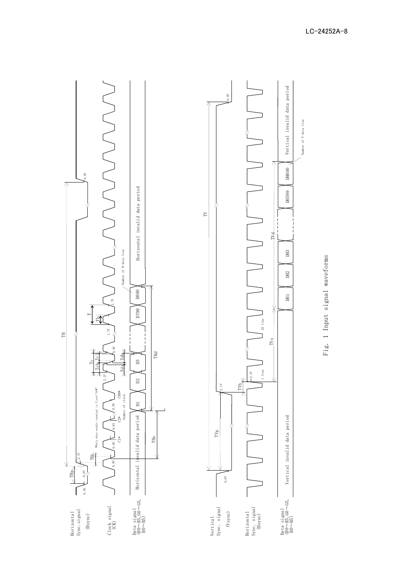

Fig. 1 Input signal waveforms Fig. 1 Input signal waveforms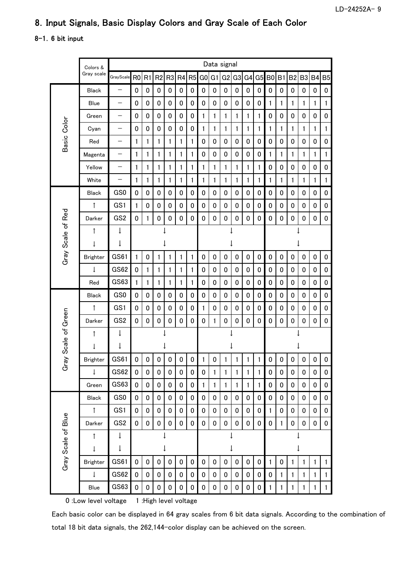## 8.Input Signals, Basic Display Colors and Gray Scale of Each Color

## 8-1.6 bit input

|                     | Colors &        | Data signal     |                |                |                |                |                |           |                |                |                |                |                |              |              |              |              |                |              |              |
|---------------------|-----------------|-----------------|----------------|----------------|----------------|----------------|----------------|-----------|----------------|----------------|----------------|----------------|----------------|--------------|--------------|--------------|--------------|----------------|--------------|--------------|
|                     | Gray scale      | GrayScale       | R <sub>0</sub> | R <sub>1</sub> | R <sub>2</sub> | R <sub>3</sub> | R <sub>4</sub> | R5        | G <sub>0</sub> | G <sub>1</sub> | G <sub>2</sub> | G <sub>3</sub> | G <sub>4</sub> |              | $G5$ BO      | B1           | <b>B2</b>    | B <sub>3</sub> | <b>B4</b>    | <b>B5</b>    |
|                     | <b>Black</b>    |                 | 0              | 0              | 0              | 0              | 0              | 0         | 0              | 0              | 0              | 0              | 0              | 0            | 0            | 0            | 0            | 0              | 0            | 0            |
|                     | Blue            | —               | 0              | 0              | 0              | 0              | 0              | 0         | 0              | 0              | 0              | 0              | 0              | 0            | 1            | 1            | 1            | 1              | 1            | 1            |
|                     | Green           | —               | 0              | 0              | 0              | 0              | 0              | 0         | 1              | 1              | 1              | 1              | 1              | $\mathbf{1}$ | 0            | 0            | 0            | 0              | 0            | 0            |
| Basic Color         | Cyan            | —               | 0              | 0              | 0              | 0              | 0              | 0         | 1              | 1              | 1              | 1              | 1              | 1            | $\mathbf{1}$ | 1            | 1            | 1              | 1            | 1            |
|                     | Red             | —               | 1              | 1              | 1              | 1              | 1              | 1         | 0              | 0              | 0              | 0              | 0              | 0            | 0            | 0            | 0            | 0              | 0            | 0            |
|                     | Magenta         | —               | 1              | 1              | 1              | 1              | 1              | 1         | 0              | 0              | 0              | 0              | 0              | 0            | 1            | 1            | 1            | 1              | 1            | 1            |
|                     | Yellow          | —               | 1              | 1              | 1              | 1              | 1              | 1         | 1              | 1              | 1              | 1              | 1              | $\mathbf{1}$ | 0            | 0            | 0            | 0              | 0            | 0            |
|                     | White           | —               | 1              | 1              | 1              | 1              | 1              | 1         | 1              | 1              | 1              | 1              | 1              | $\mathbf{1}$ | $\mathbf{1}$ | 1            | 1            | $\mathbf{1}$   | $\mathbf{1}$ | $\mathbf{1}$ |
|                     | <b>Black</b>    | GS0             | 0              | 0              | 0              | 0              | 0              | 0         | 0              | 0              | 0              | 0              | 0              | 0            | 0            | 0            | 0            | 0              | 0            | 0            |
|                     | ↑               | GS1             | 1              | 0              | 0              | 0              | 0              | 0         | 0              | 0              | 0              | 0              | 0              | 0            | $\mathbf 0$  | 0            | 0            | 0              | 0            | 0            |
|                     | Darker          | GS <sub>2</sub> | 0              | 1              | 0              | 0              | 0              | 0         | 0              | 0              | 0              | 0              | 0              | $\pmb{0}$    | 0            | 0            | 0            | 0              | 0            | 0            |
| Gray Scale of Red   | ↑               | ↓               |                |                |                |                |                |           |                |                |                |                |                |              |              |              |              |                |              |              |
|                     | $\downarrow$    | ↓               |                |                |                |                |                |           |                |                |                |                |                |              |              |              |              |                |              |              |
|                     | <b>Brighter</b> | GS61            | 1              | 0              | 1              | 1              | 1              | 1         | 0              | 0              | 0              | 0              | 0              | 0            | 0            | 0            | 0            | 0              | 0            | 0            |
|                     | $\downarrow$    | GS62            | 0              | 1              | 1              | 1              | 1              | 1         | 0              | 0              | 0              | 0              | 0              | 0            | 0            | 0            | 0            | 0              | 0            | 0            |
|                     | Red             | GS63            | 1              | 1              | 1              | 1              | 1              | 1         | 0              | 0              | 0              | 0              | 0              | 0            | 0            | 0            | 0            | 0              | 0            | 0            |
|                     | <b>Black</b>    | GS0             | 0              | 0              | 0              | 0              | 0              | 0         | 0              | 0              | 0              | 0              | 0              | 0            | 0            | 0            | 0            | 0              | 0            | 0            |
|                     | $\uparrow$      | GS1             | 0              | 0              | 0              | 0              | $\pmb{0}$      | 0         | 1              | 0              | 0              | 0              | 0              | 0            | 0            | $\pmb{0}$    | 0            | 0              | 0            | 0            |
| Gray Scale of Green | Darker          | GS <sub>2</sub> | 0              | 0              | 0              | 0              | $\pmb{0}$      | 0         | 0              | 1              | 0              | 0              | 0              | $\pmb{0}$    | 0            | 0            | 0            | 0              | 0            | 0            |
|                     | ↑               | $\downarrow$    |                |                |                |                |                |           |                |                |                |                |                |              |              |              |              |                |              |              |
|                     | ↓               | ↓               |                |                |                |                |                |           |                |                |                |                |                |              |              |              |              |                |              |              |
|                     | <b>Brighter</b> | GS61            | 0              | 0              | 0              | 0              | $\pmb{0}$      | $\pmb{0}$ | 1              | 0              | 1              | 1              | 1              | 1            | 0            | 0            | 0            | 0              | 0            | 0            |
|                     | $\downarrow$    | GS62            | 0              | 0              | 0              | 0              | 0              | 0         | 0              | $\mathbf{1}$   | 1              | 1              | 1              | $\mathbf{1}$ | 0            | 0            | 0            | 0              | 0            | 0            |
|                     | Green           | GS63            | 0              | 0              | 0              | 0              | 0              | 0         | 1              | 1              | 1              | 1              | $\mathbf{1}$   | 1            | 0            | 0            | 0            | 0              | 0            | 0            |
|                     | Black           | GS0             | 0              | 0              | 0              | 0              | 0              | 0         | 0              | 0              | 0              | 0              | 0              | 0            | 0            | 0            | 0            | 0              | 0            | 0            |
|                     | ↑               | GS1             | $\pmb{0}$      | 0              | 0              | 0              | 0              | 0         | 0              | 0              | 0              | 0              | 0              | 0            | 1            | 0            | 0            | 0              | 0            | 0            |
|                     | Darker          | GS <sub>2</sub> | 0              | 0              | $\pmb{0}$      | 0              | $\pmb{0}$      | $\pmb{0}$ | 0              | 0              | 0              | $\pmb{0}$      | 0              | 0            | 0            | $\mathbf{1}$ | 0            | 0              | 0            | 0            |
| Gray Scale of Blue  | $\uparrow$      | $\downarrow$    |                |                |                |                |                |           |                |                |                |                |                |              |              |              |              |                |              |              |
|                     | $\downarrow$    | $\downarrow$    |                |                |                |                |                |           |                |                |                | ↓              |                |              |              |              |              | ↓              |              |              |
|                     | Brighter        | GS61            | $\mathbf 0$    | 0              | 0              | $\mathbf 0$    | $\mathbf 0$    | 0         | 0              | 0              | 0              | 0              | 0              | 0            | $\mathbf{1}$ | 0            | 1            | 1              | $\mathbf{1}$ | 1            |
|                     | $\downarrow$    | <b>GS62</b>     | 0              | 0              | 0              | 0              | 0              | 0         | 0              | 0              | 0              | 0              | 0              | 0            | 0            | 1            | $\mathbf{1}$ | $\mathbf{1}$   | 1            | 1            |
|                     | Blue            | GS63            | 0              | 0              | 0              | 0              | 0              | 0         | 0              | 0              | 0              | 0              | 0              | 0            | 1            | 1            | 1            | 1              | 1            | 1            |

0 :Low level voltage 1 :High level voltage

Each basic color can be displayed in 64 gray scales from 6 bit data signals. According to the combination of total 18 bit data signals, the 262,144-color display can be achieved on the screen.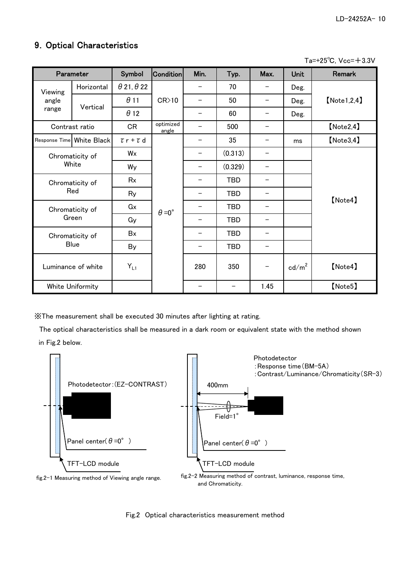## 9.Optical Characteristics

 $Ta=+25^{\circ}C$ ,  $Vcc=+3.3V$ 

| Parameter              |                           | Symbol                   | <b>Condition</b>     | Min.                     | Typ.       | Max.                     | <b>Unit</b>     | <b>Remark</b>  |  |
|------------------------|---------------------------|--------------------------|----------------------|--------------------------|------------|--------------------------|-----------------|----------------|--|
| Viewing                | Horizontal                | $\theta$ 21, $\theta$ 22 |                      |                          | 70         |                          | Deg.            |                |  |
| angle                  | Vertical                  | $\theta$ 11              | CR>10                |                          | 50         |                          | Deg.            | [Note 1, 2, 4] |  |
| range                  |                           | $\theta$ 12              |                      | —                        | 60         | —                        | Deg.            |                |  |
|                        | Contrast ratio            | <b>CR</b>                | optimized<br>angle   |                          | 500        |                          |                 | [Note2, 4]     |  |
|                        | Response Time White Black | $\tau$ r + $\tau$ d      |                      | —                        | 35         | -                        | ms              | [Note3, 4]     |  |
|                        | Chromaticity of           | Wx                       |                      | —                        | (0.313)    | -                        |                 |                |  |
|                        | White                     | Wy                       |                      |                          | (0.329)    |                          |                 |                |  |
| Chromaticity of<br>Red |                           | Rx                       |                      |                          | <b>TBD</b> | —                        |                 |                |  |
|                        |                           | Ry                       |                      |                          | <b>TBD</b> | $\overline{\phantom{0}}$ |                 | [Note4]        |  |
|                        | Chromaticity of           | Gx                       | $\theta = 0^{\circ}$ |                          | <b>TBD</b> |                          |                 |                |  |
|                        | Green                     | Gy                       |                      | $\overline{\phantom{0}}$ | <b>TBD</b> | $\overline{\phantom{0}}$ |                 |                |  |
|                        | Chromaticity of           | Bx                       |                      |                          | <b>TBD</b> |                          |                 |                |  |
| <b>Blue</b>            |                           | By                       |                      |                          | <b>TBD</b> |                          |                 |                |  |
| Luminance of white     |                           | $Y_{L1}$                 |                      | 280                      | 350        |                          | $\text{cd/m}^2$ | [Note4]        |  |
|                        | White Uniformity          |                          |                      |                          |            | 1.45                     |                 | [Note5]        |  |

※The measurement shall be executed 30 minutes after lighting at rating.

 The optical characteristics shall be measured in a dark room or equivalent state with the method shown in Fig.2 below.



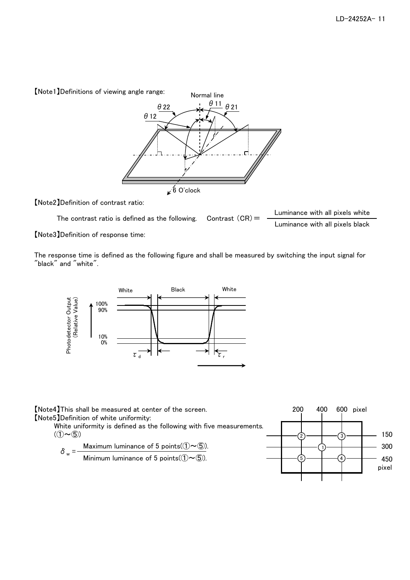【Note1】Definitions of viewing angle range:



【Note2】Definition of contrast ratio:

The contrast ratio is defined as the following. Contrast  $(CR) =$  Luminance with all pixels white Contrast  $(CR)$  =

Luminance with all pixels black

【Note3】Definition of response time:

The response time is defined as the following figure and shall be measured by switching the input signal for "black" and "white".



【Note4】This shall be measured at center of the screen. 200 400 600 pixel 【Note5】Definition of white uniformity:

White uniformity is defined as the following with five measurements.<br>( $(1)$ ~ $(5)$ )  $(1 \sim 5)$  150

$$
\delta_{w} = \frac{\text{Maximum luminance of 5 points}(\textcircled{1}\sim\textcircled{5})}{\text{Minimum luminance of 5 points}(\textcircled{1}\sim\textcircled{5})}.
$$

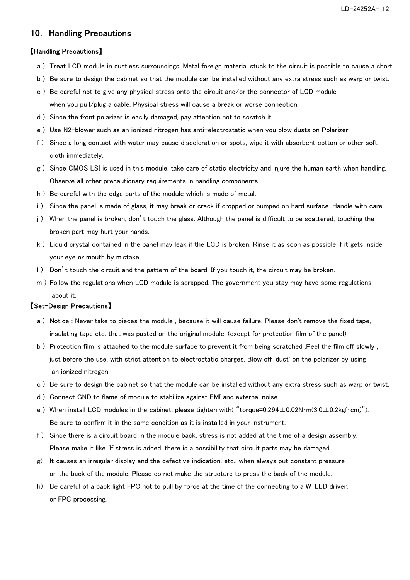LD-24252A- 12

## 10. Handling Precautions

#### 【Handling Precautions】

- a ) Treat LCD module in dustless surroundings. Metal foreign material stuck to the circuit is possible to cause a short.
- b ) Be sure to design the cabinet so that the module can be installed without any extra stress such as warp or twist.
- c ) Be careful not to give any physical stress onto the circuit and/or the connector of LCD module when you pull/plug a cable. Physical stress will cause a break or worse connection.
- d ) Since the front polarizer is easily damaged, pay attention not to scratch it.
- e ) Use N2-blower such as an ionized nitrogen has anti-electrostatic when you blow dusts on Polarizer.
- f ) Since a long contact with water may cause discoloration or spots, wipe it with absorbent cotton or other soft cloth immediately.
- g ) Since CMOS LSI is used in this module, take care of static electricity and injure the human earth when handling. Observe all other precautionary requirements in handling components.
- h ) Be careful with the edge parts of the module which is made of metal.
- i ) Since the panel is made of glass, it may break or crack if dropped or bumped on hard surface. Handle with care.
- j ) When the panel is broken, don't touch the glass. Although the panel is difficult to be scattered, touching the broken part may hurt your hands.
- k ) Liquid crystal contained in the panel may leak if the LCD is broken. Rinse it as soon as possible if it gets inside your eye or mouth by mistake.
- l ) Don't touch the circuit and the pattern of the board. If you touch it, the circuit may be broken.
- m ) Follow the regulations when LCD module is scrapped. The government you stay may have some regulations about it.

#### 【Set-Design Precautions】

- a ) Notice : Never take to pieces the module , because it will cause failure. Please don't remove the fixed tape, insulating tape etc. that was pasted on the original module. (except for protection film of the panel)
- b ) Protection film is attached to the module surface to prevent it from being scratched .Peel the film off slowly, just before the use, with strict attention to electrostatic charges. Blow off 'dust' on the polarizer by using an ionized nitrogen.
- c ) Be sure to design the cabinet so that the module can be installed without any extra stress such as warp or twist.
- d ) Connect GND to flame of module to stabilize against EMI and external noise.
- e) When install LCD modules in the cabinet, please tighten with( "torque=0.294±0.02N·m(3.0±0.2kgf·cm)"). Be sure to confirm it in the same condition as it is installed in your instrument.
- f ) Since there is a circuit board in the module back, stress is not added at the time of a design assembly. Please make it like. If stress is added, there is a possibility that circuit parts may be damaged.
- g) It causes an irregular display and the defective indication, etc., when always put constant pressure on the back of the module. Please do not make the structure to press the back of the module.
- h) Be careful of a back light FPC not to pull by force at the time of the connecting to a W-LED driver, or FPC processing.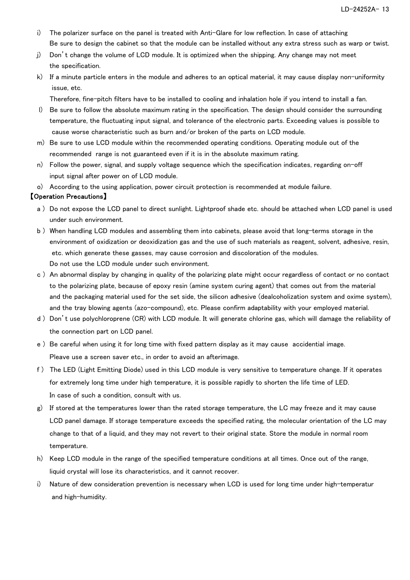- i) The polarizer surface on the panel is treated with Anti-Glare for low reflection. In case of attaching Be sure to design the cabinet so that the module can be installed without any extra stress such as warp or twist.
- j) Don't change the volume of LCD module. It is optimized when the shipping. Any change may not meet the specification.
- k) If a minute particle enters in the module and adheres to an optical material, it may cause display non-uniformity issue, etc.

Therefore, fine-pitch filters have to be installed to cooling and inhalation hole if you intend to install a fan.

- l) Be sure to follow the absolute maximum rating in the specification. The design should consider the surrounding temperature, the fluctuating input signal, and tolerance of the electronic parts. Exceeding values is possible to cause worse characteristic such as burn and/or broken of the parts on LCD module.
- m) Be sure to use LCD module within the recommended operating conditions. Operating module out of the recommended range is not guaranteed even if it is in the absolute maximum rating.
- n) Follow the power, signal, and supply voltage sequence which the specification indicates, regarding on-off input signal after power on of LCD module.
- o) According to the using application, power circuit protection is recommended at module failure.

## 【Operation Precautions】

- a ) Do not expose the LCD panel to direct sunlight. Lightproof shade etc. should be attached when LCD panel is used under such environment.
- b ) When handling LCD modules and assembling them into cabinets, please avoid that long-terms storage in the environment of oxidization or deoxidization gas and the use of such materials as reagent, solvent, adhesive, resin, etc. which generate these gasses, may cause corrosion and discoloration of the modules. Do not use the LCD module under such environment.
- c ) An abnormal display by changing in quality of the polarizing plate might occur regardless of contact or no contact to the polarizing plate, because of epoxy resin (amine system curing agent) that comes out from the material and the packaging material used for the set side, the silicon adhesive (dealcoholization system and oxime system), and the tray blowing agents (azo-compound), etc. Please confirm adaptability with your employed material.
- d ) Don't use polychloroprene (CR) with LCD module. It will generate chlorine gas, which will damage the reliability of the connection part on LCD panel.
- e ) Be careful when using it for long time with fixed pattern display as it may cause accidential image. Pleave use a screen saver etc., in order to avoid an afterimage.
- f ) The LED (Light Emitting Diode) used in this LCD module is very sensitive to temperature change. If it operates for extremely long time under high temperature, it is possible rapidly to shorten the life time of LED. In case of such a condition, consult with us.
- g) If stored at the temperatures lower than the rated storage temperature, the LC may freeze and it may cause LCD panel damage. If storage temperature exceeds the specified rating, the molecular orientation of the LC may change to that of a liquid, and they may not revert to their original state. Store the module in normal room temperature.
- h) Keep LCD module in the range of the specified temperature conditions at all times. Once out of the range, liquid crystal will lose its characteristics, and it cannot recover.
- i) Nature of dew consideration prevention is necessary when LCD is used for long time under high-temperatur and high-humidity.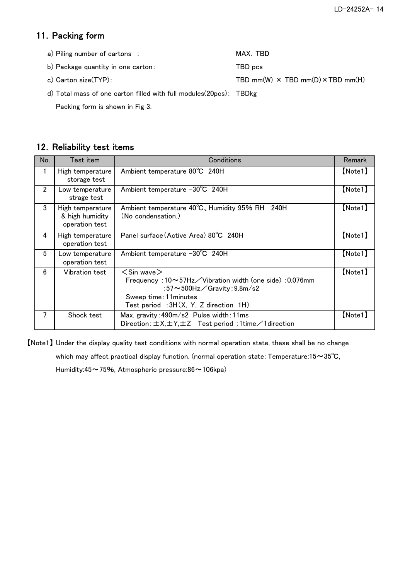## 11. Packing form

| a) Piling number of cartons :                                      | MAX. TBD                                        |
|--------------------------------------------------------------------|-------------------------------------------------|
| b) Package quantity in one carton:                                 | TBD pcs                                         |
| c) Carton size(TYP):                                               | TBD mm(W) $\times$ TBD mm(D) $\times$ TBD mm(H) |
| d) Total mass of one carton filled with full modules(20pcs): TBDkg |                                                 |

Packing form is shown in Fig 3.

## 12. Reliability test items

| No.            | Test item                                             | Conditions                                                                                                                                                                                                              | Remark  |
|----------------|-------------------------------------------------------|-------------------------------------------------------------------------------------------------------------------------------------------------------------------------------------------------------------------------|---------|
|                | High temperature<br>storage test                      | Ambient temperature 80°C 240H                                                                                                                                                                                           | [Note1] |
| $\overline{2}$ | Low temperature<br>strage test                        | Ambient temperature -30°C 240H                                                                                                                                                                                          | [Note1] |
| 3              | High temperature<br>& high humidity<br>operation test | Ambient temperature 40°C, Humidity 95% RH 240H<br>(No condensation.)                                                                                                                                                    | [Note1] |
| 4              | High temperature<br>operation test                    | Panel surface (Active Area) 80°C 240H                                                                                                                                                                                   | [Note1] |
| 5              | Low temperature<br>operation test                     | Ambient temperature -30°C 240H                                                                                                                                                                                          | [Note1] |
| 6              | Vibration test                                        | $<$ Sin wave $>$<br>Frequency: $10 \sim 57$ Hz $\diagup$ Vibration width (one side): 0.076mm<br>: $57\sim500$ Hz $\angle$ Gravity: $9.8$ m $/s2$<br>Sweep time: 11 minutes<br>Test period : $3H(X, Y, Z)$ direction 1H) | [Note1] |
| 7              | Shock test                                            | Max. gravity: 490m/s2 Pulse width: 11ms<br>Direction: $\pm$ X, $\pm$ Y, $\pm$ Z Test period: 1 time $\angle$ 1 direction                                                                                                | [Note1] |

【Note1】 Under the display quality test conditions with normal operation state, these shall be no change which may affect practical display function. (normal operation state: Temperature:15~35℃, Humidity:45~75%, Atmospheric pressure:86~106kpa)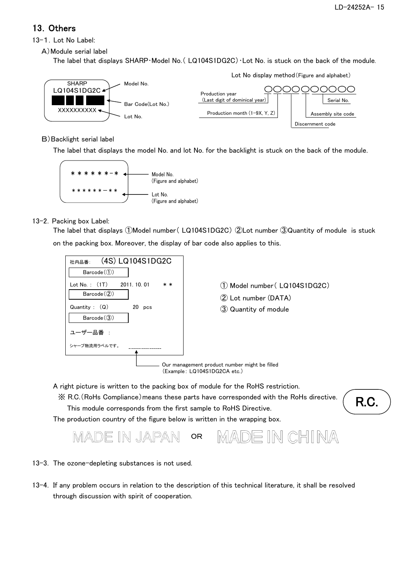## 13.Others

#### 13-1. Lot No Label:

A)Module serial label

The label that displays SHARP・Model No.( LQ104S1DG2C)・Lot No. is stuck on the back of the module.



B)Backlight serial label

The label that displays the model No. and lot No. for the backlight is stuck on the back of the module.



## 13-2. Packing box Label:

on the packing box. Moreover, the display of bar code also applies to this. The label that displays ①Model number( LQ104S1DG2C) ②Lot number ③Quantity of module is stuck



A right picture is written to the packing box of module for the RoHS restriction.

※ R.C.(RoHs Compliance)means these parts have corresponded with the RoHs directive.

This module corresponds from the first sample to RoHS Directive.

The production country of the figure below is written in the wrapping box.

IN CHINA IN JAP/ OR

#### 13-3. The ozone-depleting substances is not used.

13-4. If any problem occurs in relation to the description of this technical literature, it shall be resolved through discussion with spirit of cooperation.

R.C.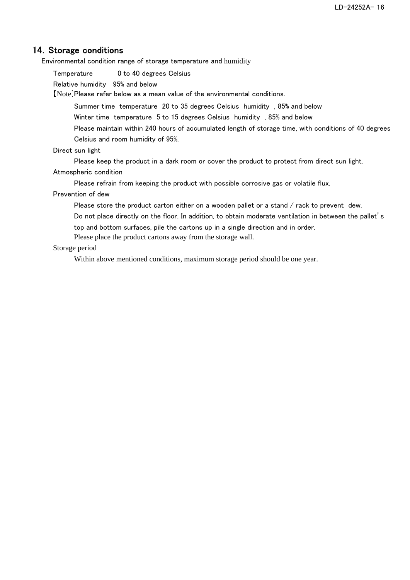## 14. Storage conditions

Environmental condition range of storage temperature and humidity

Temperature 0 to 40 degrees Celsius

Relative humidity 95% and below

【Note】Please refer below as a mean value of the environmental conditions.

Summer time temperature 20 to 35 degrees Celsius humidity , 85% and below

Winter time temperature 5 to 15 degrees Celsius humidity , 85% and below

Please maintain within 240 hours of accumulated length of storage time, with conditions of 40 degrees Celsius and room humidity of 95%.

Direct sun light

Please keep the product in a dark room or cover the product to protect from direct sun light.

Atmospheric condition

Please refrain from keeping the product with possible corrosive gas or volatile flux.

#### Prevention of dew

Please store the product carton either on a wooden pallet or a stand / rack to prevent dew.

Do not place directly on the floor. In addition, to obtain moderate ventilation in between the pallet's

top and bottom surfaces, pile the cartons up in a single direction and in order.

Please place the product cartons away from the storage wall.

#### Storage period

Within above mentioned conditions, maximum storage period should be one year.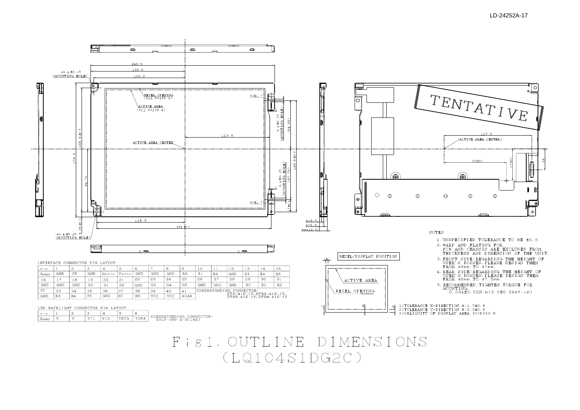# Fig1. OUTLINE DIMENSIONS  $(LQ104S1DG2C)$

LED BACKLIGHT CONNECTOR PIN LAYOUT

 $|3\rangle$ 

 $\vert$  4

 $\sqrt{\frac{V}{11} \sqrt{V}}$ 

5

 $|6\rangle$ 

TSTG TOPA

CORRESPONDING CONNECTOR:<br>SHLP-06V-S-B(JAE)

 $\vert$  2

 $\mathbf{v}$ 

 $|p|$ in

 $S_{\text{ymbol}}$   $\boxed{V}$ 

 $\mathbf{L}$ 



 $\frac{1}{\sqrt{1}}$ 

- 
- 
- 
- 
- 

1) TOLERANCE X-DIRECTION A: 1. 7±0. 8 2)TOLERANCE Y-DIRECTION B:2.0±0.8<br>3)OBLIQUITY OF DISPLAY AREA IC-DI<0.8